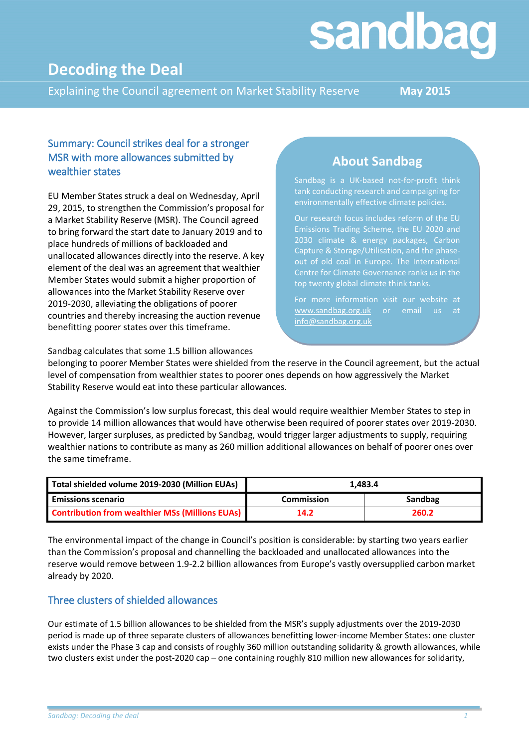# sandbag

## **Decoding the Deal**

Explaining the Council agreement on Market Stability Reserve **May 2015**

#### Summary: Council strikes deal for a stronger MSR with more allowances submitted by wealthier states

EU Member States struck a deal on Wednesday, April 29, 2015, to strengthen the Commission's proposal for a Market Stability Reserve (MSR). The Council agreed to bring forward the start date to January 2019 and to place hundreds of millions of backloaded and unallocated allowances directly into the reserve. A key element of the deal was an agreement that wealthier Member States would submit a higher proportion of allowances into the Market Stability Reserve over 2019-2030, alleviating the obligations of poorer countries and thereby increasing the auction revenue benefitting poorer states over this timeframe.

### **About Sandbag**

Sandbag is a UK-based not-for-profit think tank conducting research and campaigning for environmentally effective climate policies.

Our research focus includes reform of the EU Emissions Trading Scheme, the EU 2020 and 2030 climate & energy packages, Carbon Capture & Storage/Utilisation, and the phaseout of old coal in Europe. The International top twenty global climate think tanks.

[www.sandbag.org.uk](http://www.sandbag.org.uk/) or email us at [info@sandbag.org.uk](mailto:info@sandbag.org.uk)

Sandbag calculates that some 1.5 billion allowances

belonging to poorer Member States were shielded from the reserve in the Council agreement, but the actual level of compensation from wealthier states to poorer ones depends on how aggressively the Market Stability Reserve would eat into these particular allowances.

Against the Commission's low surplus forecast, this deal would require wealthier Member States to step in to provide 14 million allowances that would have otherwise been required of poorer states over 2019-2030. However, larger surpluses, as predicted by Sandbag, would trigger larger adjustments to supply, requiring wealthier nations to contribute as many as 260 million additional allowances on behalf of poorer ones over the same timeframe.

| Total shielded volume 2019-2030 (Million EUAs)         | 1.483.4           |         |  |
|--------------------------------------------------------|-------------------|---------|--|
| <b>Emissions scenario</b>                              | <b>Commission</b> | Sandbag |  |
| <b>Contribution from wealthier MSs (Millions EUAs)</b> | 14.2              | 260.2   |  |

The environmental impact of the change in Council's position is considerable: by starting two years earlier than the Commission's proposal and channelling the backloaded and unallocated allowances into the reserve would remove between 1.9-2.2 billion allowances from Europe's vastly oversupplied carbon market already by 2020.

#### Three clusters of shielded allowances

Our estimate of 1.5 billion allowances to be shielded from the MSR's supply adjustments over the 2019-2030 period is made up of three separate clusters of allowances benefitting lower-income Member States: one cluster exists under the Phase 3 cap and consists of roughly 360 million outstanding solidarity & growth allowances, while two clusters exist under the post-2020 cap – one containing roughly 810 million new allowances for solidarity,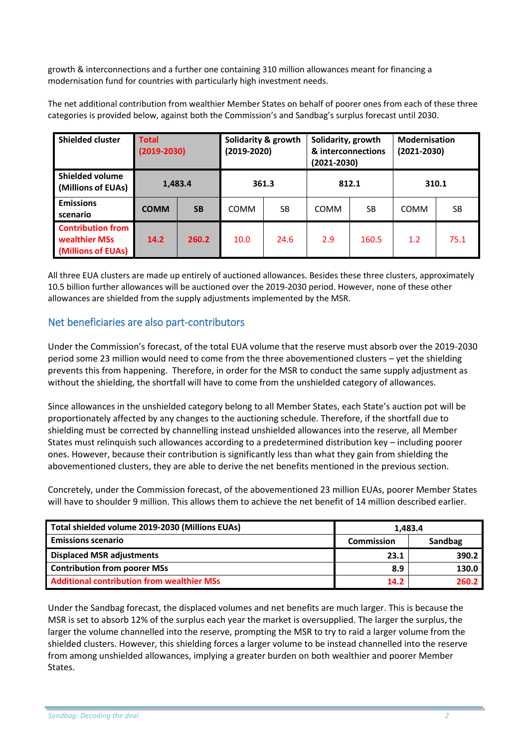growth & interconnections and a further one containing 310 million allowances meant for financing a modernisation fund for countries with particularly high investment needs.

The net additional contribution from wealthier Member States on behalf of poorer ones from each of these three categories is provided below, against both the Commission's and Sandbag's surplus forecast until 2030.

| <b>Shielded cluster</b>                                         | <b>Total</b><br>$(2019 - 2030)$ |           | Solidarity & growth<br>(2019-2020) |      | Solidarity, growth<br>& interconnections<br>(2021-2030) |       | <b>Modernisation</b><br>$(2021 - 2030)$ |      |
|-----------------------------------------------------------------|---------------------------------|-----------|------------------------------------|------|---------------------------------------------------------|-------|-----------------------------------------|------|
| <b>Shielded volume</b><br>(Millions of EUAs)                    | 1,483.4                         |           | 361.3                              |      | 812.1                                                   |       | 310.1                                   |      |
| <b>Emissions</b><br>scenario                                    | <b>COMM</b>                     | <b>SB</b> | <b>COMM</b>                        | SB   | <b>COMM</b>                                             | SB    | <b>COMM</b>                             | SB   |
| <b>Contribution from</b><br>wealthier MSs<br>(Millions of EUAs) | 14.2                            | 260.2     | 10.0                               | 24.6 | 2.9                                                     | 160.5 | 1.2                                     | 75.1 |

All three EUA clusters are made up entirely of auctioned allowances. Besides these three clusters, approximately 10.5 billion further allowances will be auctioned over the 2019-2030 period. However, none of these other allowances are shielded from the supply adjustments implemented by the MSR.

#### Net beneficiaries are also part-contributors

Under the Commission's forecast, of the total EUA volume that the reserve must absorb over the 2019-2030 period some 23 million would need to come from the three abovementioned clusters – yet the shielding prevents this from happening. Therefore, in order for the MSR to conduct the same supply adjustment as without the shielding, the shortfall will have to come from the unshielded category of allowances.

Since allowances in the unshielded category belong to all Member States, each State's auction pot will be proportionately affected by any changes to the auctioning schedule. Therefore, if the shortfall due to shielding must be corrected by channelling instead unshielded allowances into the reserve, all Member States must relinquish such allowances according to a predetermined distribution key – including poorer ones. However, because their contribution is significantly less than what they gain from shielding the abovementioned clusters, they are able to derive the net benefits mentioned in the previous section.

Concretely, under the Commission forecast, of the abovementioned 23 million EUAs, poorer Member States will have to shoulder 9 million. This allows them to achieve the net benefit of 14 million described earlier.

| Total shielded volume 2019-2030 (Millions EUAs)   | 1.483.4           |         |  |
|---------------------------------------------------|-------------------|---------|--|
| <b>Emissions scenario</b>                         | <b>Commission</b> | Sandbag |  |
| <b>Displaced MSR adjustments</b>                  | 23.1              | 390.2   |  |
| <b>Contribution from poorer MSs</b>               | 8.9               | 130.0   |  |
| <b>Additional contribution from wealthier MSs</b> | 14.2              | 260.2   |  |

Under the Sandbag forecast, the displaced volumes and net benefits are much larger. This is because the MSR is set to absorb 12% of the surplus each year the market is oversupplied. The larger the surplus, the larger the volume channelled into the reserve, prompting the MSR to try to raid a larger volume from the shielded clusters. However, this shielding forces a larger volume to be instead channelled into the reserve from among unshielded allowances, implying a greater burden on both wealthier and poorer Member States.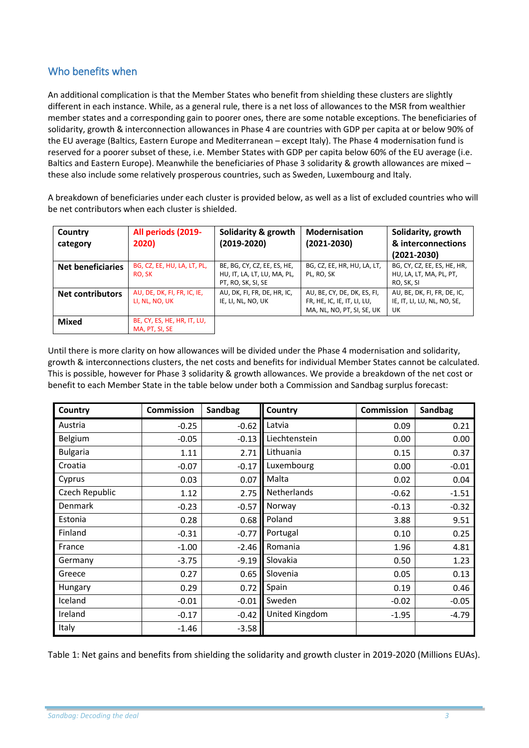#### Who benefits when

An additional complication is that the Member States who benefit from shielding these clusters are slightly different in each instance. While, as a general rule, there is a net loss of allowances to the MSR from wealthier member states and a corresponding gain to poorer ones, there are some notable exceptions. The beneficiaries of solidarity, growth & interconnection allowances in Phase 4 are countries with GDP per capita at or below 90% of the EU average (Baltics, Eastern Europe and Mediterranean – except Italy). The Phase 4 modernisation fund is reserved for a poorer subset of these, i.e. Member States with GDP per capita below 60% of the EU average (i.e. Baltics and Eastern Europe). Meanwhile the beneficiaries of Phase 3 solidarity & growth allowances are mixed – these also include some relatively prosperous countries, such as Sweden, Luxembourg and Italy.

A breakdown of beneficiaries under each cluster is provided below, as well as a list of excluded countries who will be net contributors when each cluster is shielded.

| Country<br>category      | All periods (2019-<br>2020)                   | Solidarity & growth<br>$(2019 - 2020)$                                           | <b>Modernisation</b><br>$(2021 - 2030)$                                                  | Solidarity, growth<br>& interconnections<br>$(2021 - 2030)$          |
|--------------------------|-----------------------------------------------|----------------------------------------------------------------------------------|------------------------------------------------------------------------------------------|----------------------------------------------------------------------|
| <b>Net beneficiaries</b> | BG, CZ, EE, HU, LA, LT, PL,<br>RO, SK         | BE, BG, CY, CZ, EE, ES, HE,<br>HU, IT, LA, LT, LU, MA, PL,<br>PT, RO, SK, SI, SE | BG, CZ, EE, HR, HU, LA, LT,<br>PL, RO, SK                                                | BG, CY, CZ, EE, ES, HE, HR,<br>HU, LA, LT, MA, PL, PT,<br>RO, SK, SI |
| <b>Net contributors</b>  | AU, DE, DK, FI, FR, IC, IE,<br>LI, NL, NO, UK | AU, DK, FI, FR, DE, HR, IC,<br>IE, LI, NL, NO, UK                                | AU, BE, CY, DE, DK, ES, FI,<br>FR, HE, IC, IE, IT, LI, LU,<br>MA, NL, NO, PT, SI, SE, UK | AU, BE, DK, FI, FR, DE, IC,<br>IE, IT, LI, LU, NL, NO, SE,<br>UK     |
| <b>Mixed</b>             | BE, CY, ES, HE, HR, IT, LU,<br>MA, PT, SI, SE |                                                                                  |                                                                                          |                                                                      |

Until there is more clarity on how allowances will be divided under the Phase 4 modernisation and solidarity, growth & interconnections clusters, the net costs and benefits for individual Member States cannot be calculated. This is possible, however for Phase 3 solidarity & growth allowances. We provide a breakdown of the net cost or benefit to each Member State in the table below under both a Commission and Sandbag surplus forecast:

| Country         | <b>Commission</b> | Sandbag | Country        | <b>Commission</b> | Sandbag |
|-----------------|-------------------|---------|----------------|-------------------|---------|
| Austria         | $-0.25$           | $-0.62$ | Latvia         | 0.09              | 0.21    |
| Belgium         | $-0.05$           | $-0.13$ | Liechtenstein  | 0.00              | 0.00    |
| <b>Bulgaria</b> | 1.11              | 2.71    | Lithuania      | 0.15              | 0.37    |
| Croatia         | $-0.07$           | $-0.17$ | Luxembourg     | 0.00              | $-0.01$ |
| Cyprus          | 0.03              | 0.07    | Malta          | 0.02              | 0.04    |
| Czech Republic  | 1.12              | 2.75    | Netherlands    | $-0.62$           | $-1.51$ |
| <b>Denmark</b>  | $-0.23$           | $-0.57$ | Norway         | $-0.13$           | $-0.32$ |
| Estonia         | 0.28              | 0.68    | Poland         | 3.88              | 9.51    |
| Finland         | $-0.31$           | $-0.77$ | Portugal       | 0.10              | 0.25    |
| France          | $-1.00$           | $-2.46$ | Romania        | 1.96              | 4.81    |
| Germany         | $-3.75$           | $-9.19$ | Slovakia       | 0.50              | 1.23    |
| Greece          | 0.27              | 0.65    | Slovenia       | 0.05              | 0.13    |
| Hungary         | 0.29              | 0.72    | Spain          | 0.19              | 0.46    |
| Iceland         | $-0.01$           | $-0.01$ | Sweden         | $-0.02$           | $-0.05$ |
| Ireland         | $-0.17$           | $-0.42$ | United Kingdom | $-1.95$           | $-4.79$ |
| Italy           | $-1.46$           | $-3.58$ |                |                   |         |

Table 1: Net gains and benefits from shielding the solidarity and growth cluster in 2019-2020 (Millions EUAs).